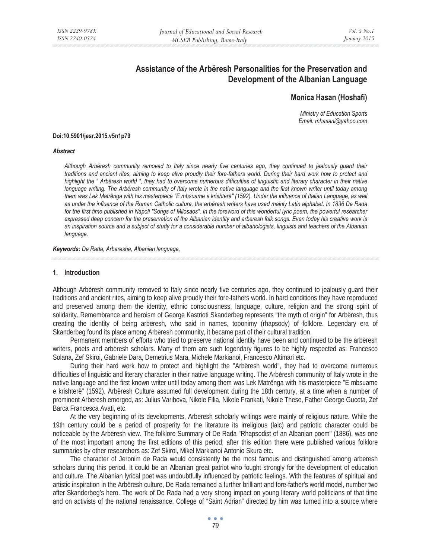# **Assistance of the Arbëresh Personalities for the Preservation and Development of the Albanian Language**

# **Monica Hasan (Hoshafi)**

*Ministry of Education Sports Email: mhasani@yahoo.com* 

#### **Doi:10.5901/jesr.2015.v5n1p79**

#### *Abstract*

*Although Arbơresh community removed to Italy since nearly five centuries ago, they continued to jealously guard their traditions and ancient rites, aiming to keep alive proudly their fore-fathers world. During their hard work how to protect and highlight the " Arbëresh world ", they had to overcome numerous difficulties of linguistic and literary character in their native language writing. The Arbơresh community of Italy wrote in the native language and the first known writer until today among them was Lek Matrënga with his masterpiece "E mbsuame e krishterë" (1592). Under the influence of Italian Language, as well as under the influence of the Roman Catholic culture, the arbëresh writers have used mainly Latin alphabet. In 1836 De Rada for the first time published in Napoli "Songs of Milosaos". In the foreword of this wonderful lyric poem, the powerful researcher expressed deep concern for the preservation of the Albanian identity and arberesh folk songs. Even today his creative work is an inspiration source and a subject of study for a considerable number of albanologists, linguists and teachers of the Albanian language.* 

*Keywords: De Rada, Arbereshe, Albanian language,* 

#### **1. Introduction**

Although Arberesh community removed to Italy since nearly five centuries ago, they continued to jealously guard their traditions and ancient rites, aiming to keep alive proudly their fore-fathers world. In hard conditions they have reproduced and preserved among them the identity, ethnic consciousness, language, culture, religion and the strong spirit of solidarity. Remembrance and heroism of George Kastrioti Skanderbeg represents "the myth of origin" for Arbëresh, thus creating the identity of being arbëresh, who said in names, toponimy (rhapsody) of folklore. Legendary era of Skanderbeg found its place among Arbëresh community, it became part of their cultural tradition.

Permanent members of efforts who tried to preserve national identity have been and continued to be the arbëresh writers, poets and arberesh scholars. Many of them are such legendary figures to be highly respected as: Francesco Solana, Zef Skiroi, Gabriele Dara, Demetrius Mara, Michele Markianoi, Francesco Altimari etc.

During their hard work how to protect and highlight the "Arbëresh world", they had to overcome numerous difficulties of linguistic and literary character in their native language writing. The Arberesh community of Italy wrote in the native language and the first known writer until today among them was Lek Matrënga with his masterpiece "E mbsuame e krishterë" (1592). Arbëresh Culture assumed full development during the 18th century, at a time when a number of prominent Arberesh emerged, as: Julius Varibova, Nikole Filia, Nikole Frankati, Nikole These, Father George Guceta, Zef Barca Francesca Avati, etc.

At the very beginning of its developments, Arberesh scholarly writings were mainly of religious nature. While the 19th century could be a period of prosperity for the literature its irreligious (laic) and patriotic character could be noticeable by the Arbëresh view. The folklore Summary of De Rada "Rhapsodist of an Albanian poem" (1886), was one of the most important among the first editions of this period; after this edition there were published various folklore summaries by other researchers as: Zef Skiroi, Mikel Markianoi Antonio Skura etc.

The character of Jeronim de Rada would consistently be the most famous and distinguished among arberesh scholars during this period. It could be an Albanian great patriot who fought strongly for the development of education and culture. The Albanian lyrical poet was undoubtfully influenced by patriotic feelings. With the features of spiritual and artistic inspiration in the Arbëresh culture, De Rada remained a further brilliant and fore-father's world model, number two after Skanderbeg's hero. The work of De Rada had a very strong impact on young literary world politicians of that time and on activists of the national renaissance. College of "Saint Adrian" directed by him was turned into a source where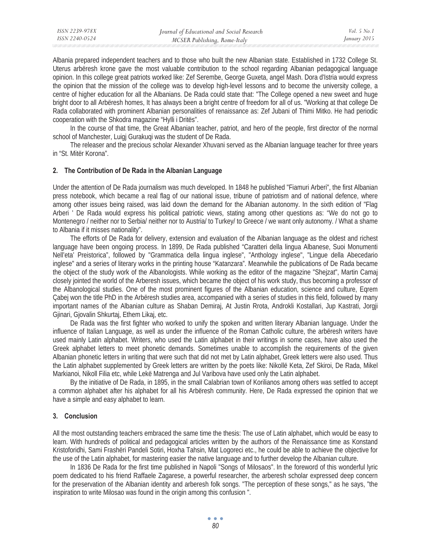| ISSN 2239-978X | Journal of Educational and Social Research | Vol. 5 No. 1 |
|----------------|--------------------------------------------|--------------|
| ISSN 2240-0524 | MCSER Publishing, Rome-Italy               | January 2015 |

Albania prepared independent teachers and to those who built the new Albanian state. Established in 1732 College St. Uterus arbëresh krone gave the most valuable contribution to the school regarding Albanian pedagogical language opinion. In this college great patriots worked like: Zef Serembe, George Guxeta, angel Mash. Dora d'Istria would express the opinion that the mission of the college was to develop high-level lessons and to become the university college, a centre of higher education for all the Albanians. De Rada could state that: "The College opened a new sweet and huge bright door to all Arbëresh homes, It has always been a bright centre of freedom for all of us. "Working at that college De Rada collaborated with prominent Albanian personalities of renaissance as: Zef Jubani of Thimi Mitko. He had periodic cooperation with the Shkodra magazine "Hylli i Dritës".

In the course of that time, the Great Albanian teacher, patriot, and hero of the people, first director of the normal school of Manchester, Luigj Gurakuqi was the student of De Rada.

The releaser and the precious scholar Alexander Xhuvani served as the Albanian language teacher for three years in "St. Mitër Korona".

## **2. The Contribution of De Rada in the Albanian Language**

Under the attention of De Rada journalism was much developed. In 1848 he published "Fiamuri Arberi", the first Albanian press notebook, which became a real flag of our national issue, tribune of patriotism and of national defence, where among other issues being raised, was laid down the demand for the Albanian autonomy. In the sixth edition of "Flag Arberi ' De Rada would express his political patriotic views, stating among other questions as: "We do not go to Montenegro / neither nor to Serbia/ neither nor to Austria/ to Turkey/ to Greece / we want only autonomy. / What a shame to Albania if it misses nationality".

The efforts of De Rada for delivery, extension and evaluation of the Albanian language as the oldest and richest language have been ongoing process. In 1899, De Rada published "Caratteri della lingua Albanese, Suoi Monumenti Nell'eta' Preistorica", followed by "Grammatica della lingua inglese", "Anthology inglese", "Lingue della Abecedario inglese" and a series of literary works in the printing house "Katanzara". Meanwhile the publications of De Rada became the object of the study work of the Albanologists. While working as the editor of the magazine "Shejzat", Martin Camaj closely jointed the world of the Arberesh issues, which became the object of his work study, thus becoming a professor of the Albanological studies. One of the most prominent figures of the Albanian education, science and culture, Eqrem Çabej won the title PhD in the Arbëresh studies area, accompanied with a series of studies in this field, followed by many important names of the Albanian culture as Shaban Demiraj, At Justin Rrota, Androkli Kostallari, Jup Kastrati, Jorgji Gjinari, Gjovalin Shkurtaj, Ethem Likaj, etc.

De Rada was the first fighter who worked to unify the spoken and written literary Albanian language. Under the influence of Italian Language, as well as under the influence of the Roman Catholic culture, the arbëresh writers have used mainly Latin alphabet. Writers, who used the Latin alphabet in their writings in some cases, have also used the Greek alphabet letters to meet phonetic demands. Sometimes unable to accomplish the requirements of the given Albanian phonetic letters in writing that were such that did not met by Latin alphabet, Greek letters were also used. Thus the Latin alphabet supplemented by Greek letters are written by the poets like: Nikollë Keta, Zef Skiroi, De Rada, Mikel Markianoi, Nikoll Filia etc, while Lekë Matrenga and Jul Varibova have used only the Latin alphabet.

By the initiative of De Rada, in 1895, in the small Calabrian town of Korilianos among others was settled to accept a common alphabet after his alphabet for all his Arbëresh community. Here, De Rada expressed the opinion that we have a simple and easy alphabet to learn.

#### **3. Conclusion**

All the most outstanding teachers embraced the same time the thesis: The use of Latin alphabet, which would be easy to learn. With hundreds of political and pedagogical articles written by the authors of the Renaissance time as Konstand Kristoforidhi, Sami Frashëri Pandeli Sotiri, Hoxha Tahsin, Mat Logoreci etc., he could be able to achieve the objective for the use of the Latin alphabet, for mastering easier the native language and to further develop the Albanian culture.

In 1836 De Rada for the first time published in Napoli "Songs of Milosaos". In the foreword of this wonderful lyric poem dedicated to his friend Raffaele Zagarese, a powerful researcher, the arberesh scholar expressed deep concern for the preservation of the Albanian identity and arberesh folk songs. "The perception of these songs," as he says, "the inspiration to write Milosao was found in the origin among this confusion ".